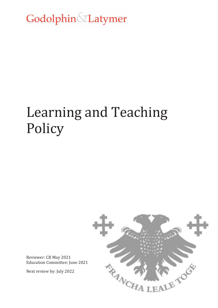Godolphin Latymer

# Learning and Teaching Policy



Reviewer: CB May 2021 Education Committee: June 2021

Next review by: July 2022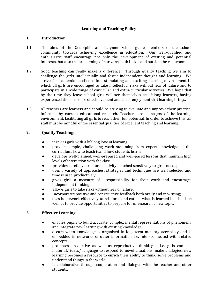## **Learning and Teaching Policy**

### **1. Introduction**

- 1.1. The aims of the Godolphin and Latymer School guide members of the school community towards achieving excellence in education. Our well-qualified and enthusiastic staff encourage not only the development of existing and potential interests, but also the broadening of horizons, both inside and outside the classroom.
- 1.2. Good teaching can really make a difference. Through quality teaching we aim to challenge the girls intellectually and foster independent thought and learning. We strive for academic excellence in a stimulating and exciting learning environment in which all girls are encouraged to take intellectual risks without fear of failure and to participate in a wide range of curricular and extra-curricular activities. We hope that by the time they leave school girls will see themselves as lifelong learners, having experienced the fun, sense of achievement and sheer enjoyment that learning brings.
- 1.3. All teachers are learners and should be striving to evaluate and improve their practice, informed by current educational research. Teachers are managers of the learning environment, facilitating all girls to reach their full potential. In order to achieve this, all staff must be mindful of the essential qualities of excellent teaching and learning.

## **2. Quality Teaching:**

- inspires girls with a lifelong love of learning;
- provides ample, challenging work stemming from expert knowledge of the curriculum, how to teach it and how students learn;
- develops well-planned, well-prepared and well-paced lessons that maintain high levels of interaction with the class;
- provides carefully structured activity matched sensitively to girls' needs;
- uses a variety of approaches; strategies and techniques are well selected and time is used productively;
- gives girls a measure of responsibility for their work and encourages independent thinking;
- allows girls to take risks without fear of failure;
- incorporates positive and constructive feedback both orally and in writing;
- uses homework effectively to reinforce and extend what is learned in school, as well as to provide opportunities to prepare for or research a new topic.

### **3. Effective Learning:**

- enables pupils to build accurate, complex mental representations of phenomena and integrate new learning with existing knowledge;
- occurs when knowledge is organised in long-term memory accessibly and is embedded in networks of other information, i.e. inter-connected with related concepts;
- promotes productive as well as reproductive thinking  $-$  i.e. girls can use material/ ideas/ language to respond to novel situations, make analogies; new learning becomes a resource to enrich their ability to think, solve problems and understand things in the world;
- is collaborative through cooperation and dialogue with the teacher and other students.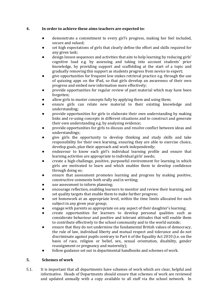## **4. In order to achieve these aims teachers are expected to:**

- demonstrate a commitment to every girl's progress, making her feel included, secure and valued;
- set high expectations of girls that clearly define the effort and skills required for any given task;
- design lesson sequences and activities that aim to help learning by reducing girls' cognitive load e.g. by assessing and taking into account students' prior knowledge, by providing support and scaffolding at the start of a topic and gradually removing this support as students progress from novice to expert;
- give opportunities for frequent low stakes retrieval practice e.g. through the use of quizzing apps on the iPad, so that girls develop an awareness of their own progress and embed new information more effectively;
- provide opportunities for regular review of past material which may have been forgotten;
- allow girls to master concepts fully by applying them and using them;
- ensure girls can relate new material to their existing knowledge and understanding;
- provide opportunities for girls to elaborate their own understanding by making links and re-using concepts in different situations and to construct and generate their own understanding e.g. by analysing evidence;
- provide opportunities for girls to discuss and resolve conflict between ideas and understandings;
- give girls the opportunity to develop thinking and study skills and take responsibility for their own learning, ensuring they are able to exercise choice, develop goals, plan their approach and work independently;
- endeavour to know each girl's individual learning profile and ensure that learning activities are appropriate to individual girls' needs;
- create a high-challenge, positive, purposeful environment for learning in which girls are motivated to learn and which enables them to develop confidence through doing so;
- ensure that assessment promotes learning and progress by making positive, constructive comments both orally and in writing;
- use assessment to inform planning;
- encourage reflection, enabling learners to monitor and review their learning, and set quality targets that enable them to make further progress;
- set homework at an appropriate level, within the time limits allocated for each subject in any given year group;
- engage with parents as appropriate on any aspect of their daughter's learning;
- create opportunities for learners to develop personal qualities such as considerate behaviour and positive and tolerant attitudes that will enable them to contribute effectively to the school community and to the world outside;
- ensure that they do not undermine the fundamental British values of democracy, the rule of law, individual liberty and mutual respect and tolerance and do not discriminate against pupils contrary to Part 6 of the Equality Act 2010 (i.e. on the basis of race, religion or belief, sex, sexual orientation, disability, gender reassignment or pregnancy and maternity);
- follow guidance set out in departmental handbooks and schemes of work.

### **5. Schemes of work**

5.1. It is important that all departments have schemes of work which are clear, helpful and informative. Heads of Departments should ensure that schemes of work are reviewed and updated annually with a copy available to all staff via the school network. In